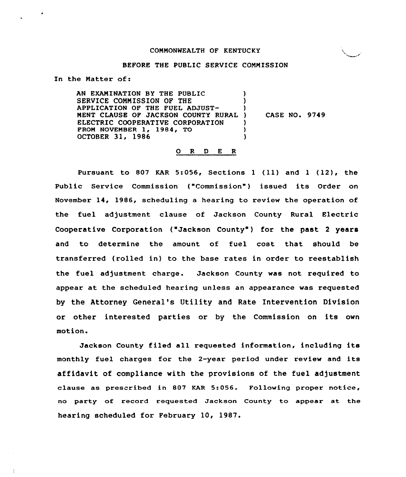### COHHONWEALTH OF KENTUCKY

### BEFORE THE PUBLIC SERVICE COHHISSION

In the Natter of:

AN EXAHINATION BY THE PUBLIC SERVICE CONNISSION OF THE APPLICATION OP THE FUEL ADJUST-HENT CLAUSE OF JACKSON COUNTY RURAL ELECTRIC COOPERATIVE CORPORATION FROM NOVEMBER 1, 1984, TO OCTOBER 31, 1986 ) ) ) ) CASE NO. 9749 ) ) )

#### 0 R <sup>D</sup> E <sup>R</sup>

Pursuant to <sup>807</sup> KAR 5:056, Sections <sup>1</sup> (ll) and <sup>1</sup> (12), the Public Service Commission ("Commission") issued its Order on November 14, 1986, scheduling a hearing to review the operation of the fuel adjustment clause of Jackson County Rural Electric Cooperative Corporation ("Jackson County") for the past 2 years and to determine the amount of fuel cost that should be transferred (rolled in) to the base rates in order to reestablish the fuel adjustment charge. Jackson County was not required to appear at the scheduled hearing unless an appearance was requested by the Attorney General's Utility and Rate Intervention Division or other interested parties or by the Commission on its own motion.

Jackson County filed all requested information, including its monthly fuel charges for the 2-year period under review and its affidavit of compliance with the provisions of the fuel adjustment clause as prescribed in 807 KAR 5:056. Following proper notice, no party of record requested Jackson County to appear at the hearing scheduled for February 10, 1987.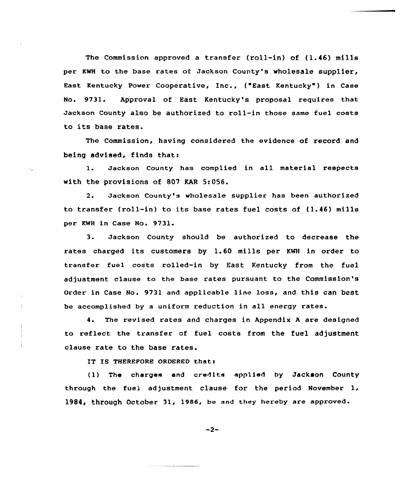The Commission approved <sup>a</sup> transfer (roll-in) of (1.46) mills per KWH to the base rates of Jackson County's wholesale supplier, East Kentucky Power Cooperative, Inc., ("East Kentucky" ) in Case No. 9731. Approval of East Kentucky's proposal requires that Jackson County also be authorized to roll-in those same fuel costs to its base rates.

The Commission, having considered the evidence of record and being advised, finds thats

l. Jackson County has complied in all material respects with the provisions of 807 KAR 5:056.

2. Jackson County's wholesale supplier has been authorized to transfer (roll-in) to its base rates fuel costs of (1.46) mills per KWH in Case No. 9731.

3. Jackson County should be authorized to decrease the rates charged its customers by 1.60 mills per KWH in order to transfer fuel costs rolled-in by East Kentucky from the fuel adjustment clause to the base rates pursuant to the Commission's Order in Case No. 9731 and applicable line loss, and this can best be accomplished by a uniform reduction in all energy rates.

4. The revised rates and charges in Appendix <sup>A</sup> are designed to reflect the transfer of fuel costs from the fuel adjustment clause rate to the base rates.

IT IS THEREFORE ORDERED that:

( 1) The charges and credits applied by Jackson County through the fuel adjustment clause for the period November 1, 1984, through October 31, 1986, be and they hereby are approved.

$$
-2-
$$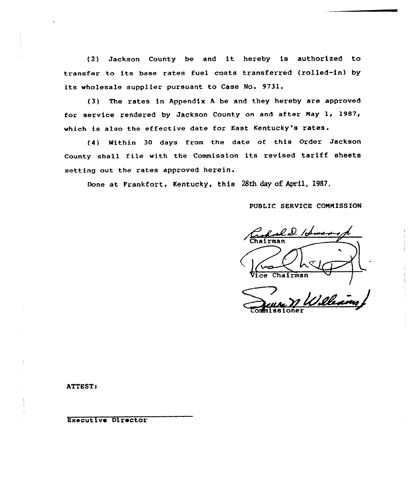(2) Jackson County be and it hereby is authorized to transfer to its base rates fuel costs transferred (rolled-in) by its wholesale supplier pursuant to Case No. 9731.

(3) The rates in Appendix <sup>A</sup> be and they hereby are approved for service rendered by Jackson County on and after Nay 1, 1987, which is also the effective date for East Kentucky's rates.

(4) Mithin 30 days from the date of this order Jackson County shall file with the Commission its revised tariff sheets setting out the rates approved herein.

Done at Prankfort, Kentucky, this 28th day of April, 1987.

PUBLIC SERVICE COMMISSION

l D. /A **Chairman** Chairman

sioner

ATTEST:

Executive Director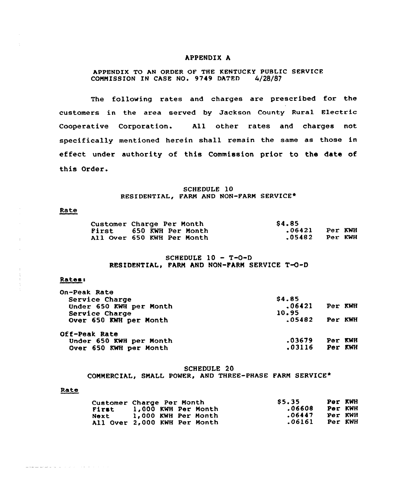#### APPENDIX A

## APPENDIX TO AN ORDER OF THE KENTUCKY PUBLIC SERVICE<br>COMMISSION IN CASE NO. 9749 DATED 4/28/87 COMMISSION IN CASE NO. 9749 DATED

The following rates and charges are prescribed for the customers in the area served by Jackson County Rural Electric Cooperative Corporation. All other rates and charges not specifically mentioned herein shall remain the same as those in effect under authority of this Commission prior to the date of this Order.

## SCHEDULE 10 RESIDENTIAL, FARM AND NON-FARM SERVICE\*

## Rate

 $\pm$ 

| Customer Charge Per Month  | <b>S4.85</b> |         |
|----------------------------|--------------|---------|
| First 650 KWH Per Month    | .06421       | Per KWH |
| All Over 650 KWH Per Month | .05482       | Per KWH |

## SCHEDULE <sup>10</sup> - T-O-D RESIDENTIAL, FARM AND NON-FARM SERVICE T-O-D

### Rates:

| <b>On-Peak Rate</b>     |        |         |  |
|-------------------------|--------|---------|--|
| Service Charge          | \$4.85 |         |  |
| Under 650 KWH per Month | .06421 | Per KWH |  |
| Service Charge          | 10.95  |         |  |
| Over 650 KWH per Month  | .05482 | Per KWH |  |
| Off-Peak Rate           |        |         |  |
| Under 650 KWH per Month | .03679 | Per KWH |  |
| Over 650 KWH per Month  | .03116 | Per KWH |  |
|                         |        |         |  |

### SCHEDULE 20

COMMERCIAL, SMALL POWER, AND THREE-PHASE FARM SERVICE\*

### Rate

<u> La Lucia de La Caractería de la caractería de la caractería de la caractería de la caractería de la caractería de la caractería de la caractería de la caractería de la caractería de la caractería de la caractería de la c</u>

|              | Customer Charge Per Month    | S5.35  | Per KWH |  |
|--------------|------------------------------|--------|---------|--|
| <b>First</b> | 1,000 KWH Per Month          | .06608 | Per KWH |  |
| Next         | 1,000 KWH Per Month          | .06447 | Per KWH |  |
|              | All Over 2,000 KWH Per Month | .06161 | Per KWH |  |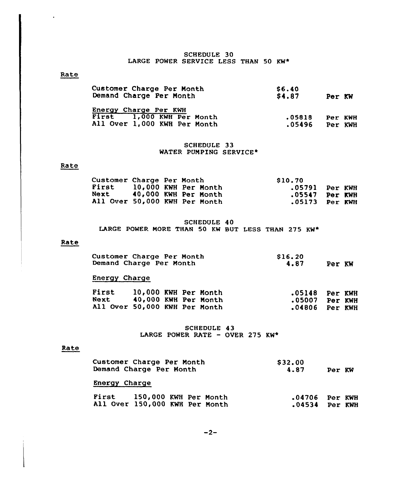# SCHEDULE 30 LARGE POWER SERVICE LESS THAN 50 KW\*

# Rate

 $\lambda$ 

| Customer Charge Per Month<br>Demand Charge Per Month | \$6.40<br><b>S4.87</b> | Per KW  |  |
|------------------------------------------------------|------------------------|---------|--|
| Energy Charge Per KWH                                |                        |         |  |
| First 1,000 KWH Per Month                            | .05818                 | Per KWH |  |
| All Over 1,000 KWH Per Month                         | .05496                 | Per KWH |  |

## SCHEDULE 33 WATER PUMPING SERVICE\*

### Rate

| Customer Charge Per Month |  |                               | \$10.70          |  |
|---------------------------|--|-------------------------------|------------------|--|
| First                     |  | 10,000 KWH Per Month          | .05791 Per KWH   |  |
|                           |  | Next 40,000 KWH Per Month     | $.05547$ Per KWH |  |
|                           |  | All Over 50,000 KWH Per Month | $.05173$ Per KWH |  |

## SCHEDULE 40 LARGE POWER MORE THAN 50 KW BUT LESS THAN 275 KW\*

### Rate

| Customer Charge Per Month | \$16.20        |  |
|---------------------------|----------------|--|
| Demand Charge Per Month   | 4.87<br>Per KW |  |

# Energy Charge

| First                         | 10,000 KWH Per Month |  | $.05148$ Per KWH |  |
|-------------------------------|----------------------|--|------------------|--|
| Next                          | 40,000 KWH Per Month |  | .05007 Per KWH   |  |
| All Over 50,000 KWH Per Month |                      |  | .04806 Per KWH   |  |

SCHEDULE 43 LARGE POWER RATE - OVER 275 KW\*

### Rate

| Customer Charge Per Month<br>Demand Charge Per Month          | \$32.00<br>4.87<br>Per KW            |  |
|---------------------------------------------------------------|--------------------------------------|--|
| Energy Charge                                                 |                                      |  |
| First 150,000 KWH Per Month<br>All Over 150,000 KWH Per Month | $.04706$ Per KWH<br>$.04534$ Per KWH |  |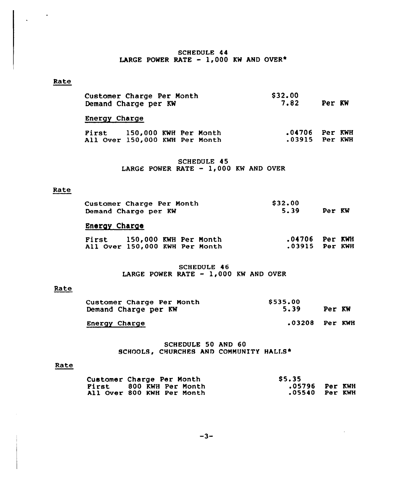# SCHEDULE 44 LARGE POWER RATE -  $1,000$  KW AND OVER\*

## Rate

| Customer Charge Per Month<br>Demand Charge per KW             |  |  |  | \$32.00<br>7.82 | Per KW                               |  |  |
|---------------------------------------------------------------|--|--|--|-----------------|--------------------------------------|--|--|
| <b>Energy Charge</b>                                          |  |  |  |                 |                                      |  |  |
| First 150,000 KWH Per Month<br>All Over 150,000 KWH Per Month |  |  |  |                 | $.04706$ Per KWH<br>$.03915$ Per KWH |  |  |

SCHEDULE 45 LARGE POWER RATE  $-1,000$  KW AND OVER

## Rate

| <b>Customer Charge Per Month</b> | \$32.00        |  |
|----------------------------------|----------------|--|
| Demand Charge per KW             | 5.39<br>Per KW |  |

# Energy Charge

| <b>First</b>                   | 150,000 KWH Per Month |  | $.04706$ Per KWH |  |
|--------------------------------|-----------------------|--|------------------|--|
| All Over 150,000 KWH Per Month |                       |  | .03915 Per KWH   |  |

# SCHEDULE 46 LARGE POWER RATE  $-1,000$  KW AND OVER

# Rate

| Customer Charge Per Month<br>Demand Charge per KW | \$535.00<br>5.39 | Per KW |
|---------------------------------------------------|------------------|--------|
|                                                   |                  |        |

Energy Charge **Energy Charge** 2008 Per KWH

# SCHEDULE 50 AND 60 SCHOOLS, CHURCHES AND COMMUNITY HALLS\*

#### Rate

| Customer Charge Per Month  | <b>S5.35</b> |                |
|----------------------------|--------------|----------------|
| Pirst 800 KWH Per Month    |              | .05796 Per KWH |
| All Over 800 KWH Per Month |              | .05540 Per KWH |